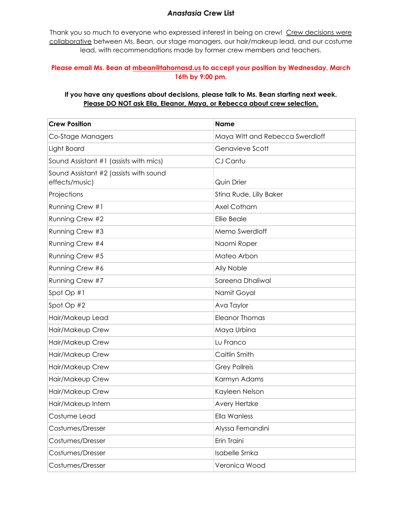## *Anastasia* **Crew List**

Thank you so much to everyone who expressed interest in being on crew! Crew decisions were collaborative between Ms. Bean, our stage managers, our hair/makeup lead, and our costume lead, with recommendations made by former crew members and teachers.

## **Please email Ms. Bean at [mbean@tahomasd.us](mailto:mbean@tahomasd.us) to accept your position by Wednesday, March 16th by 9:00 pm.**

## **If you have any questions about decisions, please talk to Ms. Bean starting next week. Please DO NOT ask Ella, Eleanor, Maya, or Rebecca about crew selection.**

| <b>Crew Position</b>                                     | <b>Name</b>                     |
|----------------------------------------------------------|---------------------------------|
| Co-Stage Managers                                        | Maya Witt and Rebecca Swerdloff |
| Light Board                                              | Genavieve Scott                 |
| Sound Assistant #1 (assists with mics)                   | CJ Cantu                        |
| Sound Assistant #2 (assists with sound<br>effects/music) | Quin Drier                      |
| Projections                                              | Stina Rude, Lilly Baker         |
| Running Crew #1                                          | Axel Cotham                     |
| Running Crew #2                                          | Ellie Beale                     |
| Running Crew #3                                          | Memo Swerdloff                  |
| Running Crew #4                                          | Naomi Roper                     |
| Running Crew #5                                          | Mateo Arbon                     |
| Running Crew #6                                          | Ally Noble                      |
| Running Crew #7                                          | Sareena Dhaliwal                |
| Spot Op #1                                               | Namit Goyal                     |
| Spot Op #2                                               | Ava Taylor                      |
| Hair/Makeup Lead                                         | <b>Eleanor Thomas</b>           |
| Hair/Makeup Crew                                         | Maya Urbina                     |
| Hair/Makeup Crew                                         | Lu Franco                       |
| Hair/Makeup Crew                                         | Caitlin Smith                   |
| Hair/Makeup Crew                                         | <b>Grey Pollreis</b>            |
| Hair/Makeup Crew                                         | Karmyn Adams                    |
| Hair/Makeup Crew                                         | Kayleen Nelson                  |
| Hair/Makeup Intern                                       | Avery Hertzke                   |
| Costume Lead                                             | Ella Wanless                    |
| Costumes/Dresser                                         | Alyssa Fernandini               |
| Costumes/Dresser                                         | Erin Traini                     |
| Costumes/Dresser                                         | Isabelle Srnka                  |
| Costumes/Dresser                                         | Veronica Wood                   |